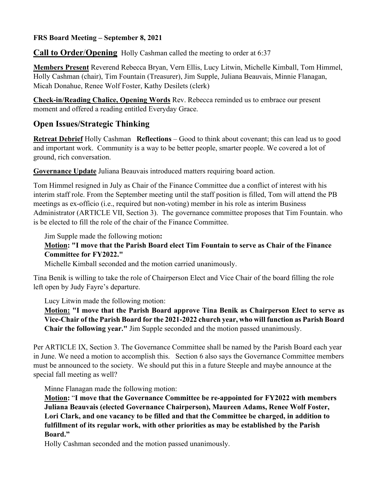### **FRS Board Meeting – September 8, 2021**

**Call to Order**/**Opening** Holly Cashman called the meeting to order at 6:37

**Members Present** Reverend Rebecca Bryan, Vern Ellis, Lucy Litwin, Michelle Kimball, Tom Himmel, Holly Cashman (chair), Tim Fountain (Treasurer), Jim Supple, Juliana Beauvais, Minnie Flanagan, Micah Donahue, Renee Wolf Foster, Kathy Desilets (clerk)

**Check-in/Reading Chalice, Opening Words** Rev. Rebecca reminded us to embrace our present moment and offered a reading entitled Everyday Grace.

## **Open Issues/Strategic Thinking**

**Retreat Debrief** Holly Cashman **Reflections** – Good to think about covenant; this can lead us to good and important work. Community is a way to be better people, smarter people. We covered a lot of ground, rich conversation.

**Governance Update** Juliana Beauvais introduced matters requiring board action.

Tom Himmel resigned in July as Chair of the Finance Committee due a conflict of interest with his interim staff role. From the September meeting until the staff position is filled, Tom will attend the PB meetings as ex-officio (i.e., required but non-voting) member in his role as interim Business Administrator (ARTICLE VII, Section 3). The governance committee proposes that Tim Fountain. who is be elected to fill the role of the chair of the Finance Committee.

Jim Supple made the following motion**:** 

#### **Motion: "I move that the Parish Board elect Tim Fountain to serve as Chair of the Finance Committee for FY2022."**

Michelle Kimball seconded and the motion carried unanimously.

Tina Benik is willing to take the role of Chairperson Elect and Vice Chair of the board filling the role left open by Judy Fayre's departure.

Lucy Litwin made the following motion:

**Motion: "I move that the Parish Board approve Tina Benik as Chairperson Elect to serve as Vice-Chair of the Parish Board for the 2021-2022 church year, who will function as Parish Board Chair the following year."** Jim Supple seconded and the motion passed unanimously.

Per ARTICLE IX, Section 3. The Governance Committee shall be named by the Parish Board each year in June. We need a motion to accomplish this. Section 6 also says the Governance Committee members must be announced to the society. We should put this in a future Steeple and maybe announce at the special fall meeting as well?

Minne Flanagan made the following motion:

**Motion:** "**I move that the Governance Committee be re-appointed for FY2022 with members Juliana Beauvais (elected Governance Chairperson), Maureen Adams, Renee Wolf Foster, Lori Clark, and one vacancy to be filled and that the Committee be charged, in addition to fulfillment of its regular work, with other priorities as may be established by the Parish Board."** 

Holly Cashman seconded and the motion passed unanimously.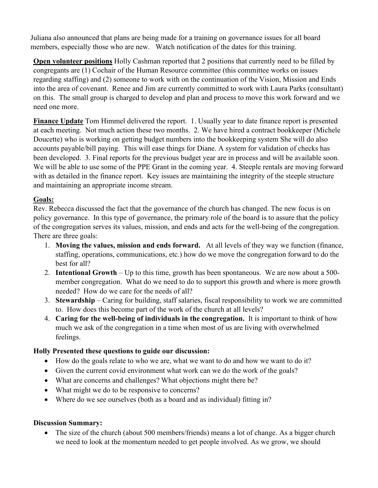Juliana also announced that plans are being made for a training on governance issues for all board members, especially those who are new. Watch notification of the dates for this training.

**Open volunteer positions** Holly Cashman reported that 2 positions that currently need to be filled by congregants are (1) Cochair of the Human Resource committee (this committee works on issues regarding staffing) and (2) someone to work with on the continuation of the Vision, Mission and Ends into the area of covenant. Renee and Jim are currently committed to work with Laura Parks (consultant) on this. The small group is charged to develop and plan and process to move this work forward and we need one more.

**Finance Update** Tom Himmel delivered the report. 1. Usually year to date finance report is presented at each meeting. Not much action these two months. 2. We have hired a contract bookkeeper (Michele Doucette) who is working on getting budget numbers into the bookkeeping system She will do also accounts payable/bill paying. This will ease things for Diane. A system for validation of checks has been developed. 3. Final reports for the previous budget year are in process and will be available soon. We will be able to use some of the PPE Grant in the coming year. 4. Steeple rentals are moving forward with as detailed in the finance report. Key issues are maintaining the integrity of the steeple structure and maintaining an appropriate income stream.

### **Goals:**

Rev. Rebecca discussed the fact that the governance of the church has changed. The new focus is on policy governance. In this type of governance, the primary role of the board is to assure that the policy of the congregation serves its values, mission, and ends and acts for the well-being of the congregation. There are three goals:

- 1. **Moving the values, mission and ends forward.** At all levels of they way we function (finance, staffing, operations, communications, etc.) how do we move the congregation forward to do the best for all?
- 2. **Intentional Growth** Up to this time, growth has been spontaneous. We are now about a 500 member congregation. What do we need to do to support this growth and where is more growth needed? How do we care for the needs of all?
- 3. **Stewardship** Caring for building, staff salaries, fiscal responsibility to work we are committed to. How does this become part of the work of the church at all levels?
- 4. **Caring for the well-being of individuals in the congregation.** It is important to think of how much we ask of the congregation in a time when most of us are living with overwhelmed feelings.

### **Holly Presented these questions to guide our discussion:**

- How do the goals relate to who we are, what we want to do and how we want to do it?
- Given the current covid environment what work can we do the work of the goals?
- What are concerns and challenges? What objections might there be?
- What might we do to be responsive to concerns?
- Where do we see ourselves (both as a board and as individual) fitting in?

#### **Discussion Summary:**

• The size of the church (about 500 members/friends) means a lot of change. As a bigger church we need to look at the momentum needed to get people involved. As we grow, we should